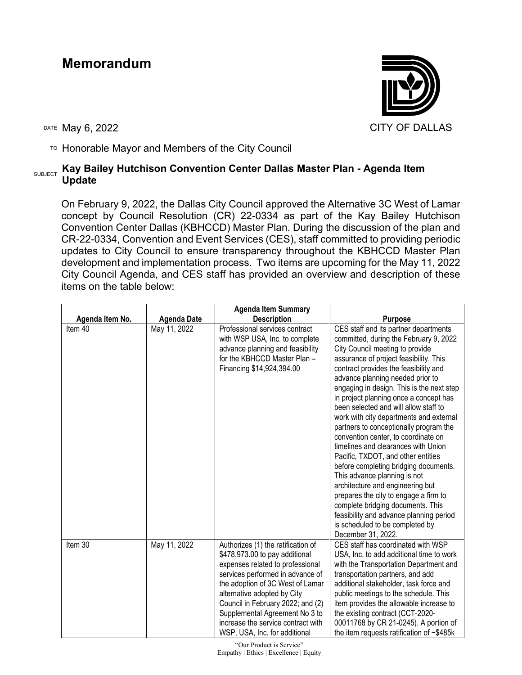## **Memorandum**



TO Honorable Mayor and Members of the City Council

## SUBJECT **Kay Bailey Hutchison Convention Center Dallas Master Plan - Agenda Item Update**

On February 9, 2022, the Dallas City Council approved the Alternative 3C West of Lamar concept by Council Resolution (CR) 22-0334 as part of the Kay Bailey Hutchison Convention Center Dallas (KBHCCD) Master Plan. During the discussion of the plan and CR-22-0334, Convention and Event Services (CES), staff committed to providing periodic updates to City Council to ensure transparency throughout the KBHCCD Master Plan development and implementation process. Two items are upcoming for the May 11, 2022 City Council Agenda, and CES staff has provided an overview and description of these items on the table below:

|                 |                    | <b>Agenda Item Summary</b>                                                                                                                                                                                                                                                                                                                                    |                                                                                                                                                                                                                                                                                                                                                                                                                                                                                                                                                                                                                                                                                                                                                                                                                                                                                   |
|-----------------|--------------------|---------------------------------------------------------------------------------------------------------------------------------------------------------------------------------------------------------------------------------------------------------------------------------------------------------------------------------------------------------------|-----------------------------------------------------------------------------------------------------------------------------------------------------------------------------------------------------------------------------------------------------------------------------------------------------------------------------------------------------------------------------------------------------------------------------------------------------------------------------------------------------------------------------------------------------------------------------------------------------------------------------------------------------------------------------------------------------------------------------------------------------------------------------------------------------------------------------------------------------------------------------------|
| Agenda Item No. | <b>Agenda Date</b> | <b>Description</b>                                                                                                                                                                                                                                                                                                                                            | <b>Purpose</b>                                                                                                                                                                                                                                                                                                                                                                                                                                                                                                                                                                                                                                                                                                                                                                                                                                                                    |
| Item 40         | May 11, 2022       | Professional services contract<br>with WSP USA, Inc. to complete<br>advance planning and feasibility<br>for the KBHCCD Master Plan -<br>Financing \$14,924,394.00                                                                                                                                                                                             | CES staff and its partner departments<br>committed, during the February 9, 2022<br>City Council meeting to provide<br>assurance of project feasibility. This<br>contract provides the feasibility and<br>advance planning needed prior to<br>engaging in design. This is the next step<br>in project planning once a concept has<br>been selected and will allow staff to<br>work with city departments and external<br>partners to conceptionally program the<br>convention center, to coordinate on<br>timelines and clearances with Union<br>Pacific, TXDOT, and other entities<br>before completing bridging documents.<br>This advance planning is not<br>architecture and engineering but<br>prepares the city to engage a firm to<br>complete bridging documents. This<br>feasibility and advance planning period<br>is scheduled to be completed by<br>December 31, 2022. |
| Item 30         | May 11, 2022       | Authorizes (1) the ratification of<br>\$478,973.00 to pay additional<br>expenses related to professional<br>services performed in advance of<br>the adoption of 3C West of Lamar<br>alternative adopted by City<br>Council in February 2022; and (2)<br>Supplemental Agreement No 3 to<br>increase the service contract with<br>WSP, USA, Inc. for additional | CES staff has coordinated with WSP<br>USA, Inc. to add additional time to work<br>with the Transportation Department and<br>transportation partners, and add<br>additional stakeholder, task force and<br>public meetings to the schedule. This<br>item provides the allowable increase to<br>the existing contract (CCT-2020-<br>00011768 by CR 21-0245). A portion of<br>the item requests ratification of $~5485k$                                                                                                                                                                                                                                                                                                                                                                                                                                                             |